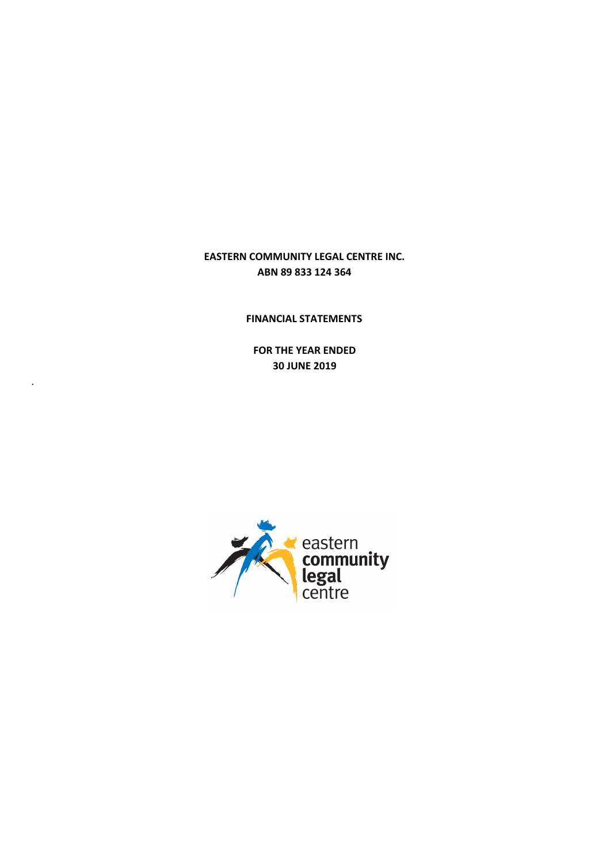### FINANCIAL STATEMENTS

FOR THE YEAR ENDED 30 JUNE 2019

.

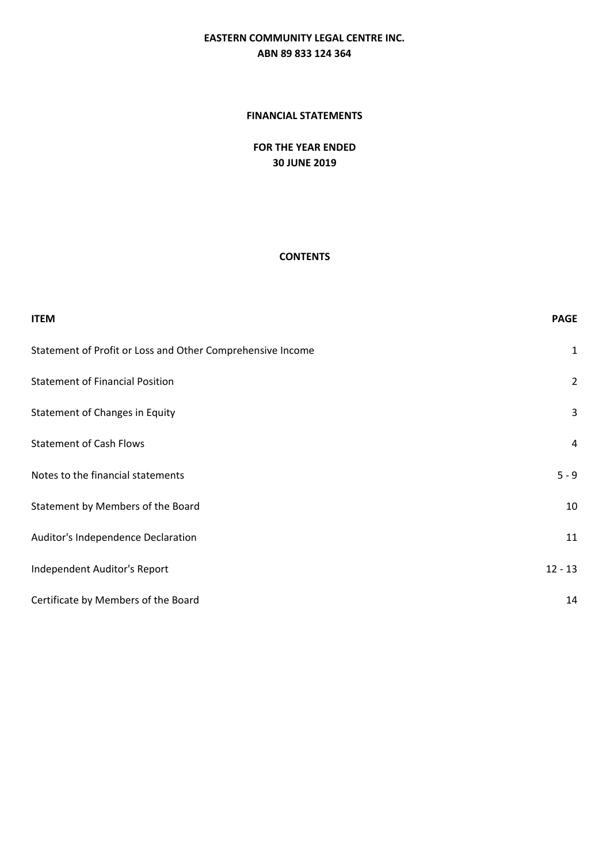#### FINANCIAL STATEMENTS

## FOR THE YEAR ENDED 30 JUNE 2019

#### **CONTENTS**

| <b>ITEM</b>                                                | <b>PAGE</b>    |
|------------------------------------------------------------|----------------|
| Statement of Profit or Loss and Other Comprehensive Income | $\mathbf 1$    |
| <b>Statement of Financial Position</b>                     | $\overline{2}$ |
| Statement of Changes in Equity                             | 3              |
| <b>Statement of Cash Flows</b>                             | 4              |
| Notes to the financial statements                          | $5 - 9$        |
| Statement by Members of the Board                          | 10             |
| Auditor's Independence Declaration                         | 11             |
| Independent Auditor's Report                               | $12 - 13$      |
| Certificate by Members of the Board                        | 14             |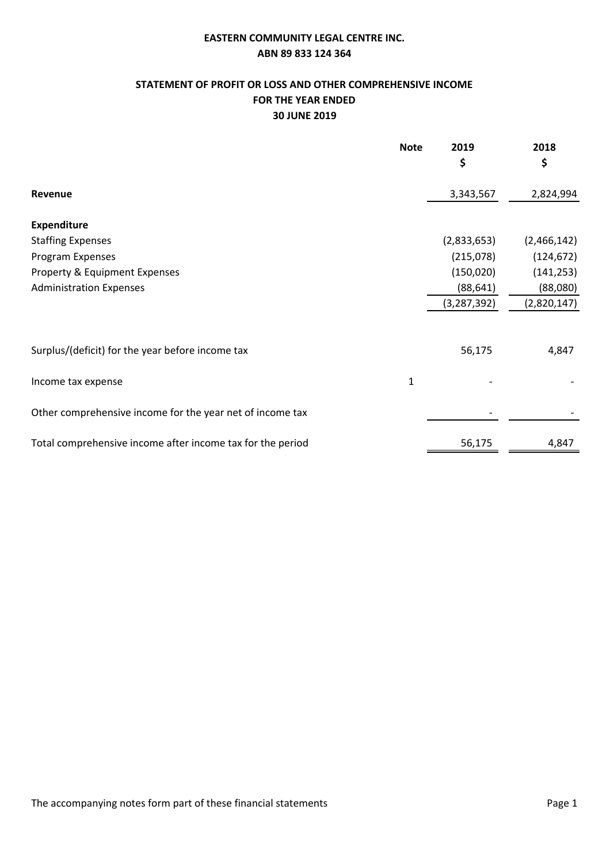# 30 JUNE 2019 STATEMENT OF PROFIT OR LOSS AND OTHER COMPREHENSIVE INCOME FOR THE YEAR ENDED

|                                                            | <b>Note</b> | 2019<br>\$    | 2018<br>\$  |
|------------------------------------------------------------|-------------|---------------|-------------|
| Revenue                                                    |             | 3,343,567     | 2,824,994   |
| <b>Expenditure</b>                                         |             |               |             |
| <b>Staffing Expenses</b>                                   |             | (2,833,653)   | (2,466,142) |
| Program Expenses                                           |             | (215,078)     | (124, 672)  |
| Property & Equipment Expenses                              |             | (150, 020)    | (141, 253)  |
| <b>Administration Expenses</b>                             |             | (88, 641)     | (88,080)    |
|                                                            |             | (3, 287, 392) | (2,820,147) |
| Surplus/(deficit) for the year before income tax           |             | 56,175        | 4,847       |
| Income tax expense                                         | $\mathbf 1$ |               |             |
| Other comprehensive income for the year net of income tax  |             |               |             |
| Total comprehensive income after income tax for the period |             | 56,175        | 4,847       |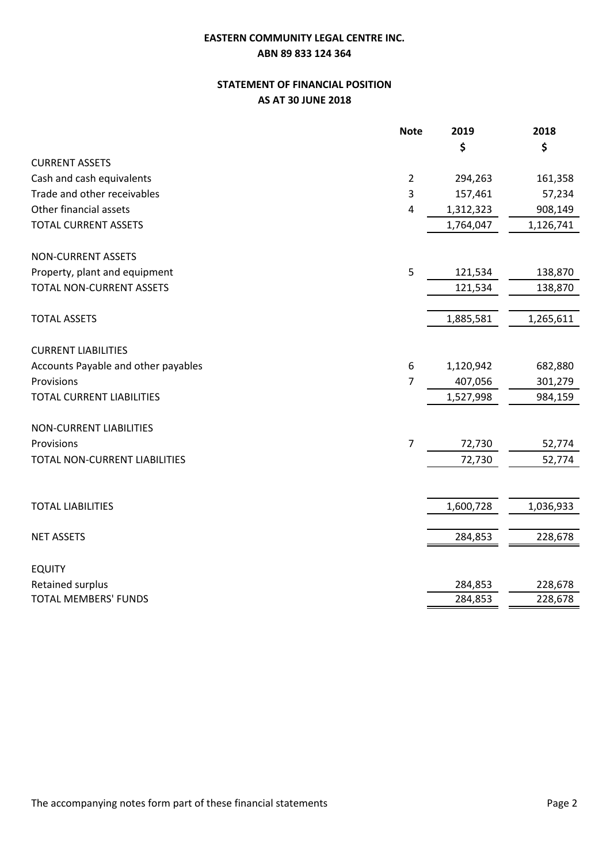## AS AT 30 JUNE 2018 STATEMENT OF FINANCIAL POSITION

|                                     | <b>Note</b>    | 2019      | 2018      |
|-------------------------------------|----------------|-----------|-----------|
|                                     |                | \$        | \$        |
| <b>CURRENT ASSETS</b>               |                |           |           |
| Cash and cash equivalents           | $\overline{2}$ | 294,263   | 161,358   |
| Trade and other receivables         | 3              | 157,461   | 57,234    |
| Other financial assets              | 4              | 1,312,323 | 908,149   |
| <b>TOTAL CURRENT ASSETS</b>         |                | 1,764,047 | 1,126,741 |
| <b>NON-CURRENT ASSETS</b>           |                |           |           |
| Property, plant and equipment       | 5              | 121,534   | 138,870   |
| TOTAL NON-CURRENT ASSETS            |                | 121,534   | 138,870   |
| <b>TOTAL ASSETS</b>                 |                | 1,885,581 | 1,265,611 |
|                                     |                |           |           |
| <b>CURRENT LIABILITIES</b>          |                |           |           |
| Accounts Payable and other payables | 6              | 1,120,942 | 682,880   |
| Provisions                          | 7              | 407,056   | 301,279   |
| TOTAL CURRENT LIABILITIES           |                | 1,527,998 | 984,159   |
| <b>NON-CURRENT LIABILITIES</b>      |                |           |           |
| Provisions                          | $\overline{7}$ | 72,730    | 52,774    |
| TOTAL NON-CURRENT LIABILITIES       |                | 72,730    | 52,774    |
|                                     |                |           |           |
| <b>TOTAL LIABILITIES</b>            |                | 1,600,728 | 1,036,933 |
| <b>NET ASSETS</b>                   |                | 284,853   | 228,678   |
| <b>EQUITY</b>                       |                |           |           |
| Retained surplus                    |                | 284,853   | 228,678   |
| <b>TOTAL MEMBERS' FUNDS</b>         |                | 284,853   | 228,678   |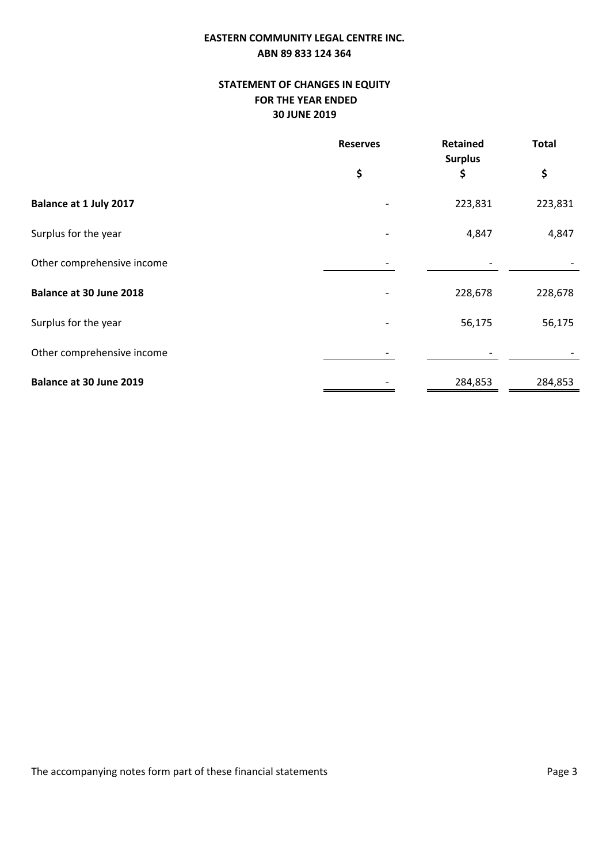## STATEMENT OF CHANGES IN EQUITY FOR THE YEAR ENDED 30 JUNE 2019

|                            | <b>Reserves</b> | <b>Retained</b><br><b>Surplus</b> | <b>Total</b> |
|----------------------------|-----------------|-----------------------------------|--------------|
|                            | \$              | \$                                | \$           |
| Balance at 1 July 2017     |                 | 223,831                           | 223,831      |
| Surplus for the year       |                 | 4,847                             | 4,847        |
| Other comprehensive income |                 |                                   |              |
| Balance at 30 June 2018    |                 | 228,678                           | 228,678      |
| Surplus for the year       | -               | 56,175                            | 56,175       |
| Other comprehensive income |                 |                                   |              |
| Balance at 30 June 2019    |                 | 284,853                           | 284,853      |

The accompanying notes form part of these financial statements **Page 3** Page 3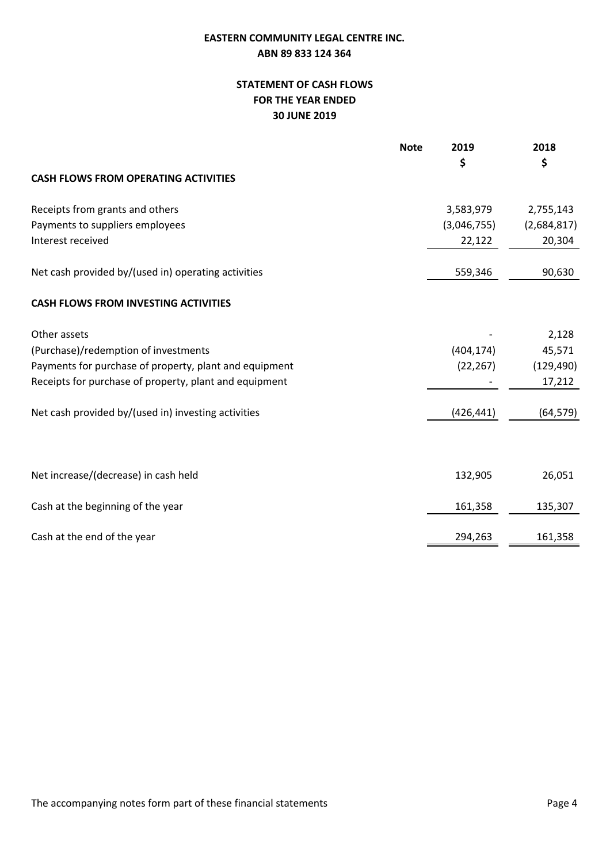# 30 JUNE 2019 STATEMENT OF CASH FLOWS FOR THE YEAR ENDED

| <b>Note</b>                                            | 2019        | 2018        |
|--------------------------------------------------------|-------------|-------------|
| <b>CASH FLOWS FROM OPERATING ACTIVITIES</b>            | \$          | \$          |
|                                                        |             |             |
| Receipts from grants and others                        | 3,583,979   | 2,755,143   |
| Payments to suppliers employees                        | (3,046,755) | (2,684,817) |
| Interest received                                      | 22,122      | 20,304      |
| Net cash provided by/(used in) operating activities    | 559,346     | 90,630      |
| <b>CASH FLOWS FROM INVESTING ACTIVITIES</b>            |             |             |
| Other assets                                           |             | 2,128       |
| (Purchase)/redemption of investments                   | (404, 174)  | 45,571      |
| Payments for purchase of property, plant and equipment | (22, 267)   | (129, 490)  |
| Receipts for purchase of property, plant and equipment |             | 17,212      |
| Net cash provided by/(used in) investing activities    | (426, 441)  | (64, 579)   |
|                                                        |             |             |
| Net increase/(decrease) in cash held                   | 132,905     | 26,051      |
| Cash at the beginning of the year                      | 161,358     | 135,307     |
| Cash at the end of the year                            | 294,263     | 161,358     |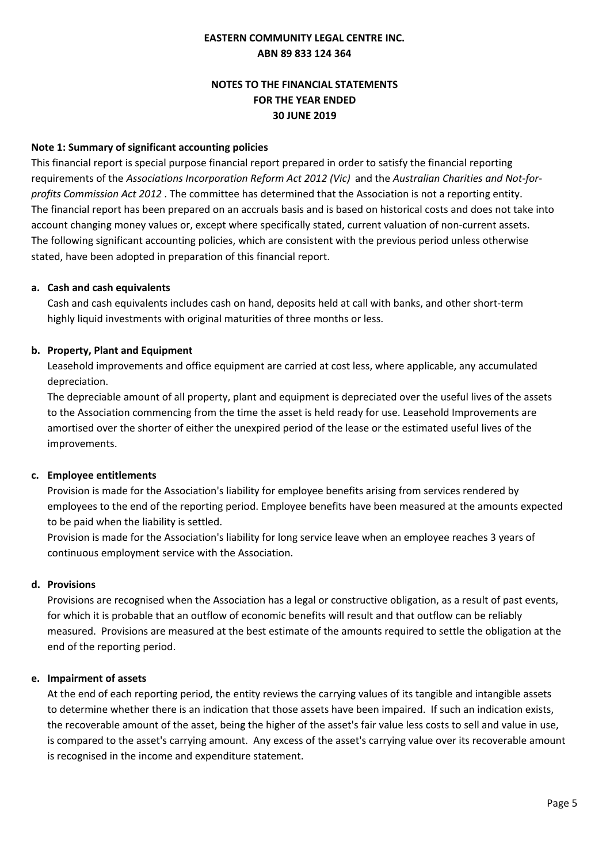# FOR THE YEAR ENDED 30 JUNE 2019 NOTES TO THE FINANCIAL STATEMENTS

### Note 1: Summary of significant accounting policies

This financial report is special purpose financial report prepared in order to satisfy the financial reporting requirements of the Associations Incorporation Reform Act 2012 (Vic) and the Australian Charities and Not-forprofits Commission Act 2012 . The committee has determined that the Association is not a reporting entity. The financial report has been prepared on an accruals basis and is based on historical costs and does not take into account changing money values or, except where specifically stated, current valuation of non-current assets. The following significant accounting policies, which are consistent with the previous period unless otherwise stated, have been adopted in preparation of this financial report.

### a. Cash and cash equivalents

Cash and cash equivalents includes cash on hand, deposits held at call with banks, and other short-term highly liquid investments with original maturities of three months or less.

### b. Property, Plant and Equipment

Leasehold improvements and office equipment are carried at cost less, where applicable, any accumulated depreciation.

The depreciable amount of all property, plant and equipment is depreciated over the useful lives of the assets to the Association commencing from the time the asset is held ready for use. Leasehold Improvements are amortised over the shorter of either the unexpired period of the lease or the estimated useful lives of the improvements.

## c. Employee entitlements

Provision is made for the Association's liability for employee benefits arising from services rendered by employees to the end of the reporting period. Employee benefits have been measured at the amounts expected to be paid when the liability is settled.

Provision is made for the Association's liability for long service leave when an employee reaches 3 years of continuous employment service with the Association.

## d. Provisions

Provisions are recognised when the Association has a legal or constructive obligation, as a result of past events, for which it is probable that an outflow of economic benefits will result and that outflow can be reliably measured. Provisions are measured at the best estimate of the amounts required to settle the obligation at the end of the reporting period.

#### e. Impairment of assets

At the end of each reporting period, the entity reviews the carrying values of its tangible and intangible assets to determine whether there is an indication that those assets have been impaired. If such an indication exists, the recoverable amount of the asset, being the higher of the asset's fair value less costs to sell and value in use, is compared to the asset's carrying amount. Any excess of the asset's carrying value over its recoverable amount is recognised in the income and expenditure statement.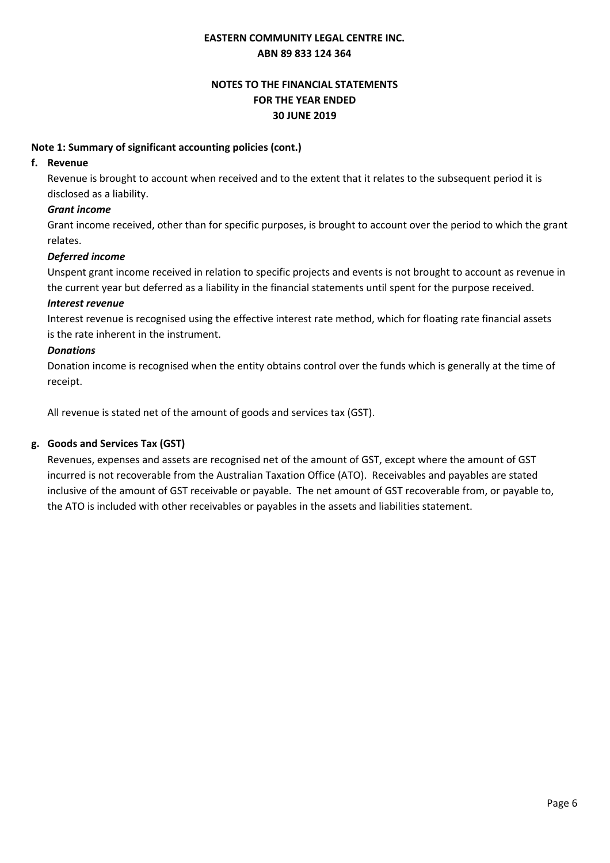# NOTES TO THE FINANCIAL STATEMENTS 30 JUNE 2019 FOR THE YEAR ENDED

### Note 1: Summary of significant accounting policies (cont.)

### f. Revenue

Revenue is brought to account when received and to the extent that it relates to the subsequent period it is disclosed as a liability.

### Grant income

Grant income received, other than for specific purposes, is brought to account over the period to which the grant relates.

### Deferred income

Unspent grant income received in relation to specific projects and events is not brought to account as revenue in the current year but deferred as a liability in the financial statements until spent for the purpose received.

### Interest revenue

Interest revenue is recognised using the effective interest rate method, which for floating rate financial assets is the rate inherent in the instrument.

### **Donations**

Donation income is recognised when the entity obtains control over the funds which is generally at the time of receipt.

All revenue is stated net of the amount of goods and services tax (GST).

## g. Goods and Services Tax (GST)

Revenues, expenses and assets are recognised net of the amount of GST, except where the amount of GST incurred is not recoverable from the Australian Taxation Office (ATO). Receivables and payables are stated inclusive of the amount of GST receivable or payable. The net amount of GST recoverable from, or payable to, the ATO is included with other receivables or payables in the assets and liabilities statement.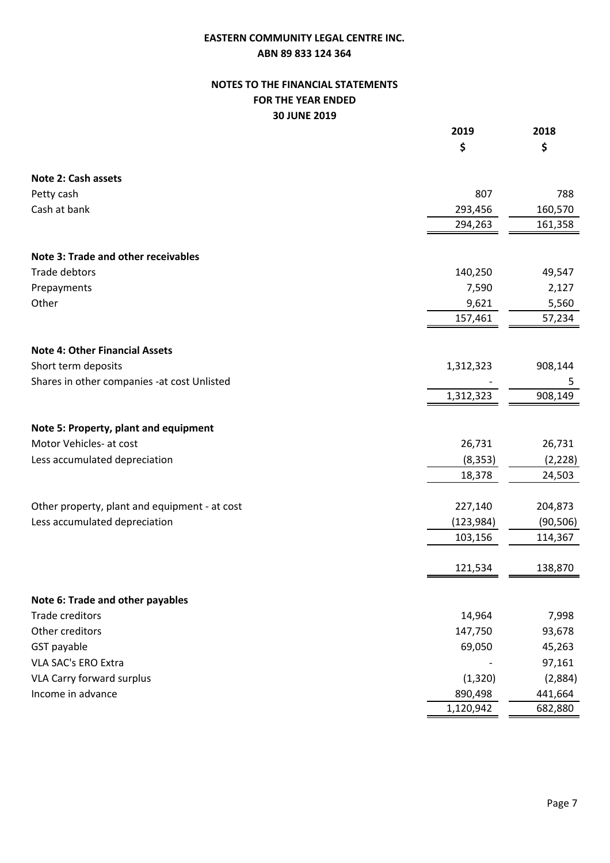# FOR THE YEAR ENDED 30 JUNE 2019 NOTES TO THE FINANCIAL STATEMENTS

|                                               | 2019       | 2018      |
|-----------------------------------------------|------------|-----------|
|                                               | \$         | \$        |
| <b>Note 2: Cash assets</b>                    |            |           |
| Petty cash                                    | 807        | 788       |
| Cash at bank                                  | 293,456    | 160,570   |
|                                               | 294,263    | 161,358   |
| Note 3: Trade and other receivables           |            |           |
| Trade debtors                                 | 140,250    | 49,547    |
| Prepayments                                   | 7,590      | 2,127     |
| Other                                         | 9,621      | 5,560     |
|                                               | 157,461    | 57,234    |
| <b>Note 4: Other Financial Assets</b>         |            |           |
| Short term deposits                           | 1,312,323  | 908,144   |
| Shares in other companies -at cost Unlisted   |            | 5         |
|                                               | 1,312,323  | 908,149   |
| Note 5: Property, plant and equipment         |            |           |
| Motor Vehicles- at cost                       | 26,731     | 26,731    |
| Less accumulated depreciation                 | (8, 353)   | (2, 228)  |
|                                               | 18,378     | 24,503    |
| Other property, plant and equipment - at cost | 227,140    | 204,873   |
| Less accumulated depreciation                 | (123, 984) | (90, 506) |
|                                               | 103,156    | 114,367   |
|                                               | 121,534    | 138,870   |
|                                               |            |           |
| Note 6: Trade and other payables              |            |           |
| Trade creditors                               | 14,964     | 7,998     |
| Other creditors                               | 147,750    | 93,678    |
| GST payable                                   | 69,050     | 45,263    |
| VLA SAC's ERO Extra                           |            | 97,161    |
| <b>VLA Carry forward surplus</b>              | (1, 320)   | (2,884)   |
| Income in advance                             | 890,498    | 441,664   |
|                                               | 1,120,942  | 682,880   |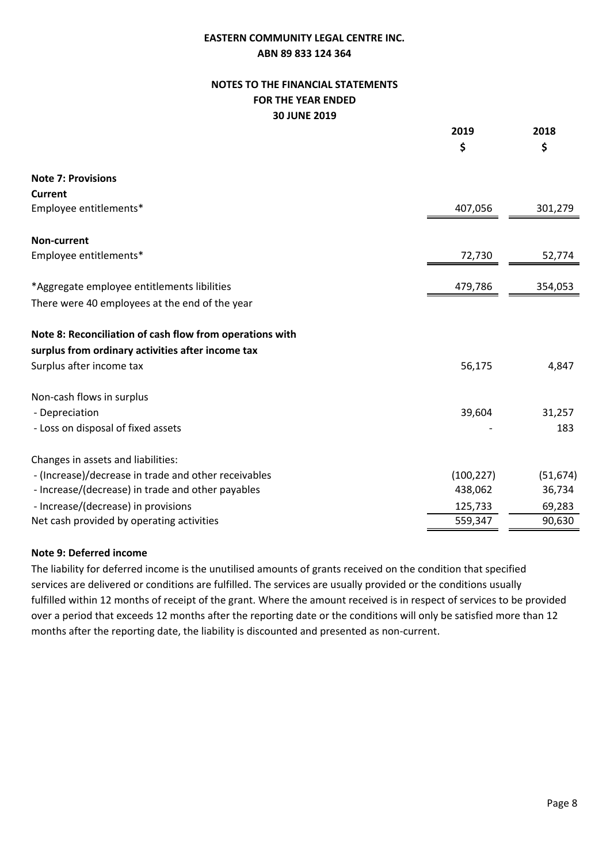# NOTES TO THE FINANCIAL STATEMENTS FOR THE YEAR ENDED 30 JUNE 2019

|                                                          | 2019<br>\$ | 2018<br>\$ |
|----------------------------------------------------------|------------|------------|
| <b>Note 7: Provisions</b>                                |            |            |
| <b>Current</b>                                           |            |            |
| Employee entitlements*                                   | 407,056    | 301,279    |
| Non-current                                              |            |            |
| Employee entitlements*                                   | 72,730     | 52,774     |
| *Aggregate employee entitlements libilities              | 479,786    | 354,053    |
| There were 40 employees at the end of the year           |            |            |
| Note 8: Reconciliation of cash flow from operations with |            |            |
| surplus from ordinary activities after income tax        |            |            |
| Surplus after income tax                                 | 56,175     | 4,847      |
| Non-cash flows in surplus                                |            |            |
| - Depreciation                                           | 39,604     | 31,257     |
| - Loss on disposal of fixed assets                       |            | 183        |
| Changes in assets and liabilities:                       |            |            |
| - (Increase)/decrease in trade and other receivables     | (100, 227) | (51, 674)  |
| - Increase/(decrease) in trade and other payables        | 438,062    | 36,734     |
| - Increase/(decrease) in provisions                      | 125,733    | 69,283     |
| Net cash provided by operating activities                | 559,347    | 90,630     |

#### Note 9: Deferred income

The liability for deferred income is the unutilised amounts of grants received on the condition that specified services are delivered or conditions are fulfilled. The services are usually provided or the conditions usually fulfilled within 12 months of receipt of the grant. Where the amount received is in respect of services to be provided over a period that exceeds 12 months after the reporting date or the conditions will only be satisfied more than 12 months after the reporting date, the liability is discounted and presented as non-current.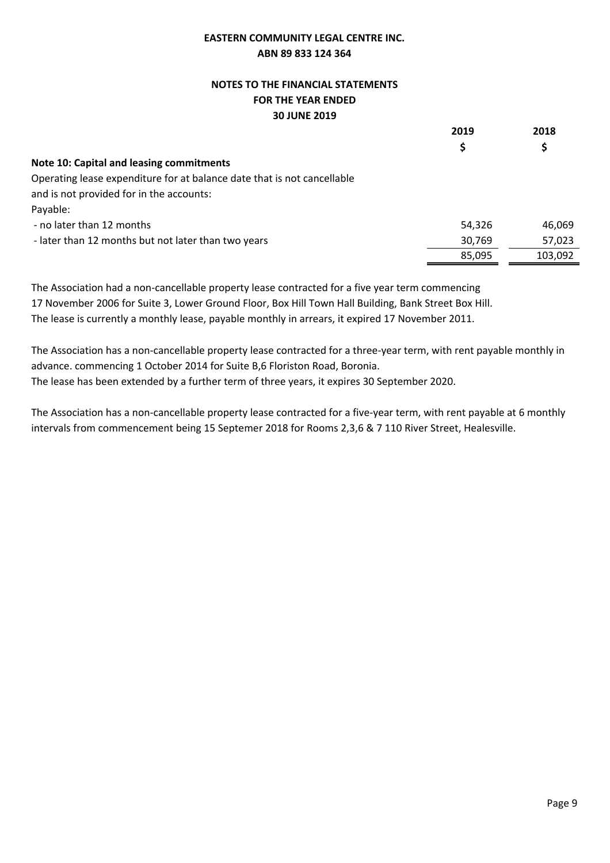# NOTES TO THE FINANCIAL STATEMENTS FOR THE YEAR ENDED 30 JUNE 2019

|                                                                         | 2019   | 2018    |
|-------------------------------------------------------------------------|--------|---------|
|                                                                         | S      | \$      |
| Note 10: Capital and leasing commitments                                |        |         |
| Operating lease expenditure for at balance date that is not cancellable |        |         |
| and is not provided for in the accounts:                                |        |         |
| Payable:                                                                |        |         |
| - no later than 12 months                                               | 54,326 | 46,069  |
| - later than 12 months but not later than two years                     | 30,769 | 57,023  |
|                                                                         | 85,095 | 103,092 |

The Association had a non-cancellable property lease contracted for a five year term commencing 17 November 2006 for Suite 3, Lower Ground Floor, Box Hill Town Hall Building, Bank Street Box Hill. The lease is currently a monthly lease, payable monthly in arrears, it expired 17 November 2011.

The Association has a non-cancellable property lease contracted for a three-year term, with rent payable monthly in advance. commencing 1 October 2014 for Suite B,6 Floriston Road, Boronia. The lease has been extended by a further term of three years, it expires 30 September 2020.

The Association has a non-cancellable property lease contracted for a five-year term, with rent payable at 6 monthly intervals from commencement being 15 Septemer 2018 for Rooms 2,3,6 & 7 110 River Street, Healesville.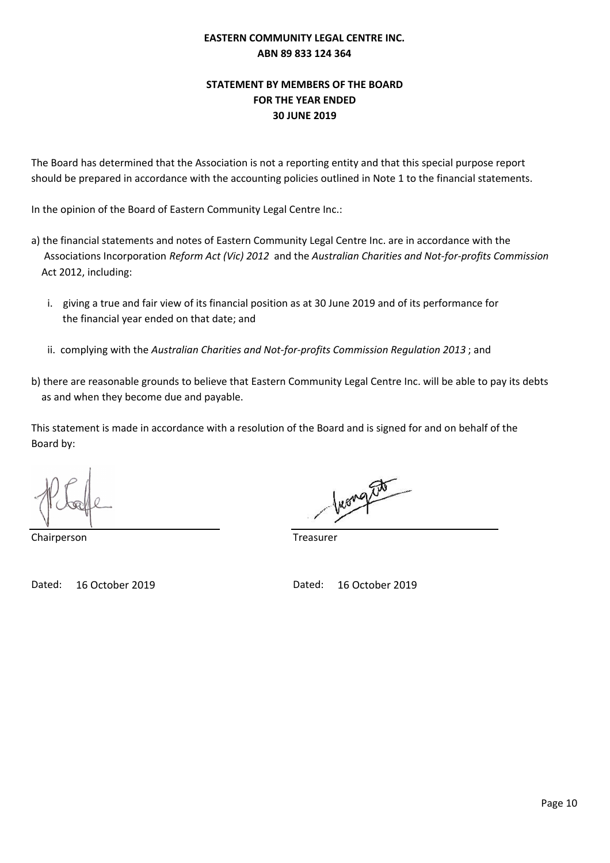# STATEMENT BY MEMBERS OF THE BOARD 30 JUNE 2019 FOR THE YEAR ENDED

The Board has determined that the Association is not a reporting entity and that this special purpose report should be prepared in accordance with the accounting policies outlined in Note 1 to the financial statements.

In the opinion of the Board of Eastern Community Legal Centre Inc.:

- a) the financial statements and notes of Eastern Community Legal Centre Inc. are in accordance with the Associations Incorporation Reform Act (Vic) 2012 and the Australian Charities and Not-for-profits Commission Act 2012, including:
	- i. giving a true and fair view of its financial position as at 30 June 2019 and of its performance for the financial year ended on that date; and
	- ii. complying with the Australian Charities and Not-for-profits Commission Regulation 2013 ; and
- b) there are reasonable grounds to believe that Eastern Community Legal Centre Inc. will be able to pay its debts as and when they become due and payable.

This statement is made in accordance with a resolution of the Board and is signed for and on behalf of the Board by:

Chairperson **Treasurer** Treasurer

Dated: 16 October 2019 **Dated:** Dated:

wong toto

16 October 2019 16 October 2019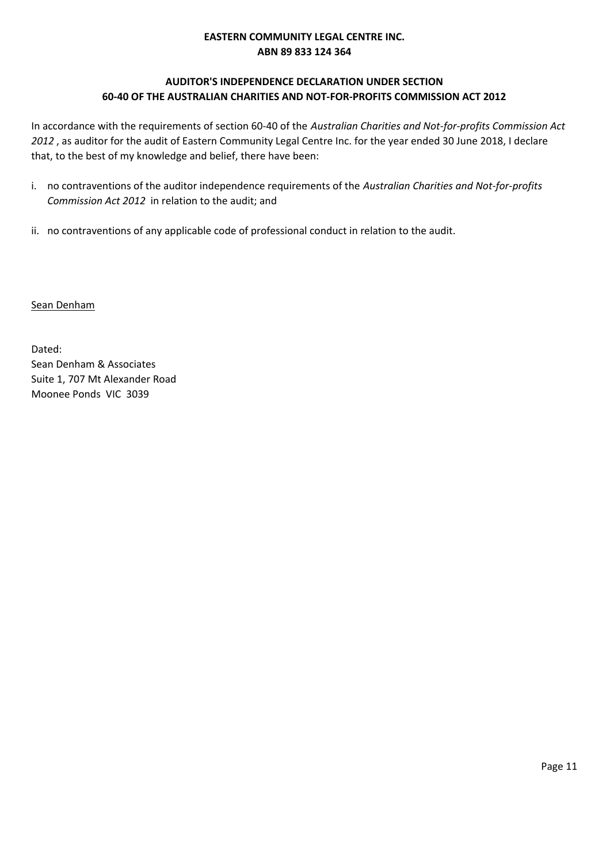## AUDITOR'S INDEPENDENCE DECLARATION UNDER SECTION 60-40 OF THE AUSTRALIAN CHARITIES AND NOT-FOR-PROFITS COMMISSION ACT 2012

In accordance with the requirements of section 60-40 of the Australian Charities and Not-for-profits Commission Act 2012 , as auditor for the audit of Eastern Community Legal Centre Inc. for the year ended 30 June 2018, I declare that, to the best of my knowledge and belief, there have been:

- i. no contraventions of the auditor independence requirements of the Australian Charities and Not-for-profits Commission Act 2012 in relation to the audit; and
- ii. no contraventions of any applicable code of professional conduct in relation to the audit.

Sean Denham

Dated: Sean Denham & Associates Suite 1, 707 Mt Alexander Road Moonee Ponds VIC 3039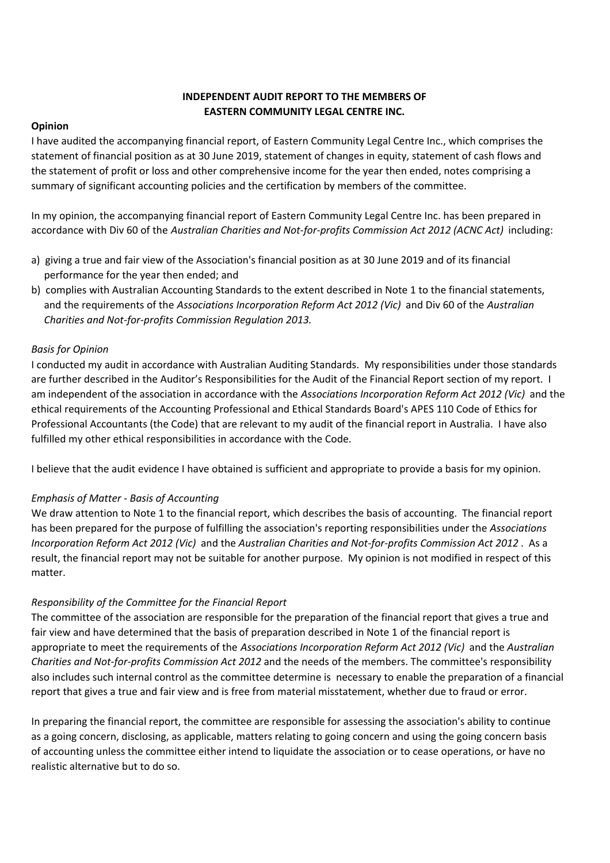## EASTERN COMMUNITY LEGAL CENTRE INC. INDEPENDENT AUDIT REPORT TO THE MEMBERS OF

### Opinion

I have audited the accompanying financial report, of Eastern Community Legal Centre Inc., which comprises the statement of financial position as at 30 June 2019, statement of changes in equity, statement of cash flows and the statement of profit or loss and other comprehensive income for the year then ended, notes comprising a summary of significant accounting policies and the certification by members of the committee.

In my opinion, the accompanying financial report of Eastern Community Legal Centre Inc. has been prepared in accordance with Div 60 of the Australian Charities and Not-for-profits Commission Act 2012 (ACNC Act) including:

- a) giving a true and fair view of the Association's financial position as at 30 June 2019 and of its financial performance for the year then ended; and
- b) complies with Australian Accounting Standards to the extent described in Note 1 to the financial statements, and the requirements of the Associations Incorporation Reform Act 2012 (Vic) and Div 60 of the Australian Charities and Not-for-profits Commission Regulation 2013.

## Basis for Opinion

I conducted my audit in accordance with Australian Auditing Standards. My responsibilities under those standards are further described in the Auditor's Responsibilities for the Audit of the Financial Report section of my report. I am independent of the association in accordance with the Associations Incorporation Reform Act 2012 (Vic) and the ethical requirements of the Accounting Professional and Ethical Standards Board's APES 110 Code of Ethics for Professional Accountants (the Code) that are relevant to my audit of the financial report in Australia. I have also fulfilled my other ethical responsibilities in accordance with the Code.

I believe that the audit evidence I have obtained is sufficient and appropriate to provide a basis for my opinion.

## Emphasis of Matter - Basis of Accounting

We draw attention to Note 1 to the financial report, which describes the basis of accounting. The financial report has been prepared for the purpose of fulfilling the association's reporting responsibilities under the Associations Incorporation Reform Act 2012 (Vic) and the Australian Charities and Not-for-profits Commission Act 2012 . As a result, the financial report may not be suitable for another purpose. My opinion is not modified in respect of this matter.

## Responsibility of the Committee for the Financial Report

The committee of the association are responsible for the preparation of the financial report that gives a true and fair view and have determined that the basis of preparation described in Note 1 of the financial report is appropriate to meet the requirements of the Associations Incorporation Reform Act 2012 (Vic) and the Australian Charities and Not-for-profits Commission Act 2012 and the needs of the members. The committee's responsibility also includes such internal control as the committee determine is necessary to enable the preparation of a financial report that gives a true and fair view and is free from material misstatement, whether due to fraud or error.

In preparing the financial report, the committee are responsible for assessing the association's ability to continue as a going concern, disclosing, as applicable, matters relating to going concern and using the going concern basis of accounting unless the committee either intend to liquidate the association or to cease operations, or have no realistic alternative but to do so.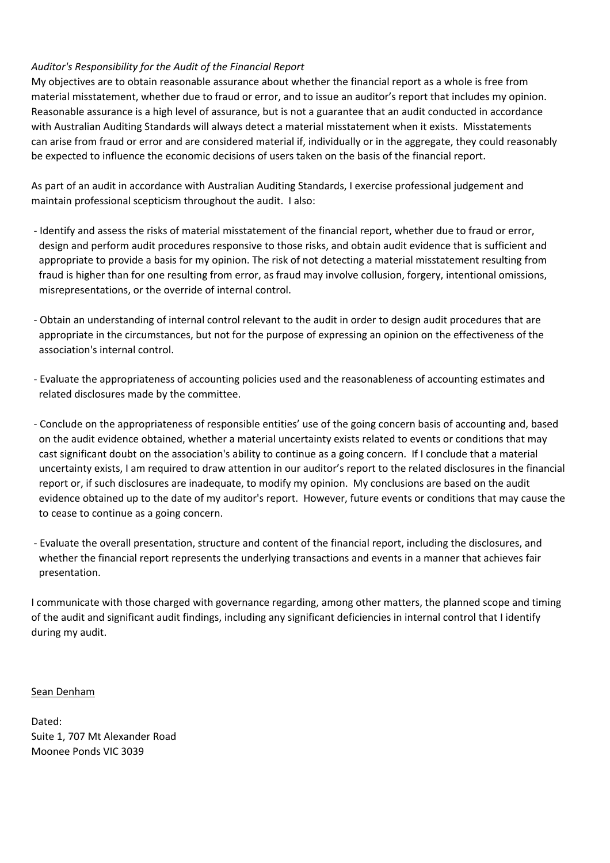## Auditor's Responsibility for the Audit of the Financial Report

My objectives are to obtain reasonable assurance about whether the financial report as a whole is free from material misstatement, whether due to fraud or error, and to issue an auditor's report that includes my opinion. Reasonable assurance is a high level of assurance, but is not a guarantee that an audit conducted in accordance with Australian Auditing Standards will always detect a material misstatement when it exists. Misstatements can arise from fraud or error and are considered material if, individually or in the aggregate, they could reasonably be expected to influence the economic decisions of users taken on the basis of the financial report.

As part of an audit in accordance with Australian Auditing Standards, I exercise professional judgement and maintain professional scepticism throughout the audit. I also:

- Identify and assess the risks of material misstatement of the financial report, whether due to fraud or error, design and perform audit procedures responsive to those risks, and obtain audit evidence that is sufficient and appropriate to provide a basis for my opinion. The risk of not detecting a material misstatement resulting from fraud is higher than for one resulting from error, as fraud may involve collusion, forgery, intentional omissions, misrepresentations, or the override of internal control.
- Obtain an understanding of internal control relevant to the audit in order to design audit procedures that are appropriate in the circumstances, but not for the purpose of expressing an opinion on the effectiveness of the association's internal control.
- Evaluate the appropriateness of accounting policies used and the reasonableness of accounting estimates and related disclosures made by the committee.
- Conclude on the appropriateness of responsible entities' use of the going concern basis of accounting and, based on the audit evidence obtained, whether a material uncertainty exists related to events or conditions that may cast significant doubt on the association's ability to continue as a going concern. If I conclude that a material uncertainty exists, I am required to draw attention in our auditor's report to the related disclosures in the financial report or, if such disclosures are inadequate, to modify my opinion. My conclusions are based on the audit evidence obtained up to the date of my auditor's report. However, future events or conditions that may cause the to cease to continue as a going concern.
- Evaluate the overall presentation, structure and content of the financial report, including the disclosures, and whether the financial report represents the underlying transactions and events in a manner that achieves fair presentation.

I communicate with those charged with governance regarding, among other matters, the planned scope and timing of the audit and significant audit findings, including any significant deficiencies in internal control that I identify during my audit.

## Sean Denham

Dated: Suite 1, 707 Mt Alexander Road Moonee Ponds VIC 3039